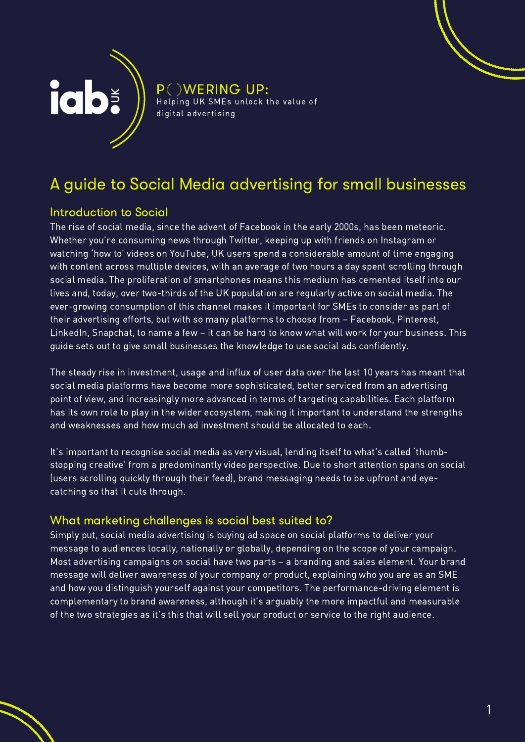

**P WERING UP:** Helping UK SMEs unlock the value of digital advertising

# A guide to Social Media advertising for small businesses

## Introduction to Social

The rise of social media, since the advent of Facebook in the early 2000s, has been meteoric. Whether you're consuming news through Twitter, keeping up with friends on Instagram or watching 'how to' videos on YouTube, UK users spend a considerable amount of time engaging with content across multiple devices, with an average of two hours a day spent scrolling through social media. The proliferation of smartphones means this medium has cemented itself into our lives and, today, over two-thirds of the UK population are regularly active on social media. The ever-growing consumption of this channel makes it important for SMEs to consider as part of their advertising efforts, but with so many platforms to choose from – Facebook, Pinterest, LinkedIn, Snapchat, to name a few – it can be hard to know what will work for your business. This guide sets out to give small businesses the knowledge to use social ads confidently.

The steady rise in investment, usage and influx of user data over the last 10 years has meant that social media platforms have become more sophisticated, better serviced from an advertising point of view, and increasingly more advanced in terms of targeting capabilities. Each platform has its own role to play in the wider ecosystem, making it important to understand the strengths and weaknesses and how much ad investment should be allocated to each.

It's important to recognise social media as very visual, lending itself to what's called 'thumbstopping creative' from a predominantly video perspective. Due to short attention spans on social (users scrolling quickly through their feed), brand messaging needs to be upfront and eyecatching so that it cuts through.

## What marketing challenges is social best suited to?

Simply put, social media advertising is buying ad space on social platforms to deliver your message to audiences locally, nationally or globally, depending on the scope of your campaign. Most advertising campaigns on social have two parts – a branding and sales element. Your brand message will deliver awareness of your company or product, explaining who you are as an SME and how you distinguish yourself against your competitors. The performance-driving element is complementary to brand awareness, although it's arguably the more impactful and measurable of the two strategies as it's this that will sell your product or service to the right audience.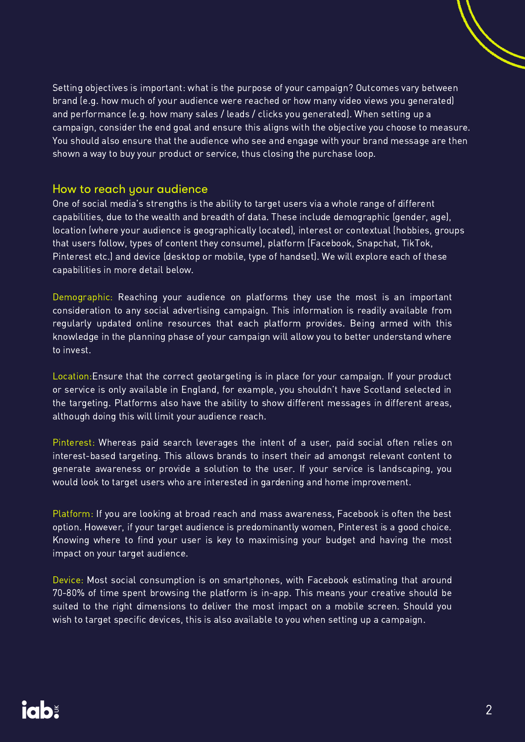Setting objectives is important: what is the purpose of your campaign? Outcomes vary between brand (e.g. how much of your audience were reached or how many video views you generated) and performance (e.g. how many sales / leads / clicks you generated). When setting up a campaign, consider the end goal and ensure this aligns with the objective you choose to measure. You should also ensure that the audience who see and engage with your brand message are then shown a way to buy your product or service, thus closing the purchase loop.

#### How to reach your audience

One of social media's strengths is the ability to target users via a whole range of different capabilities, due to the wealth and breadth of data. These include demographic (gender, age), location (where your audience is geographically located), interest or contextual (hobbies, groups that users follow, types of content they consume), platform (Facebook, Snapchat, TikTok, Pinterest etc.) and device (desktop or mobile, type of handset). We will explore each of these capabilities in more detail below.

Demographic: Reaching your audience on platforms they use the most is an important consideration to any social advertising campaign. This information is readily available from regularly updated online resources that each platform provides. Being armed with this knowledge in the planning phase of your campaign will allow you to better understand where to invest.

Location:Ensure that the correct geotargeting is in place for your campaign. If your product or service is only available in England, for example, you shouldn't have Scotland selected in the targeting. Platforms also have the ability to show different messages in different areas, although doing this will limit your audience reach.

Pinterest: Whereas paid search leverages the intent of a user, paid social often relies on interest-based targeting. This allows brands to insert their ad amongst relevant content to generate awareness or provide a solution to the user. If your service is landscaping, you would look to target users who are interested in gardening and home improvement.

Platform: If you are looking at broad reach and mass awareness, Facebook is often the best option. However, if your target audience is predominantly women, Pinterest is a good choice. Knowing where to find your user is key to maximising your budget and having the most impact on your target audience.

Device: Most social consumption is on smartphones, with Facebook estimating that around 70-80% of time spent browsing the platform is in-app. This means your creative should be suited to the right dimensions to deliver the most impact on a mobile screen. Should you wish to target specific devices, this is also available to you when setting up a campaign.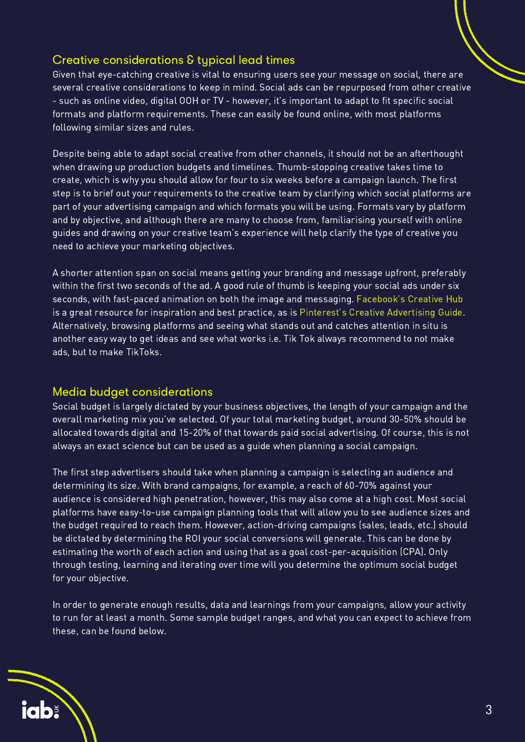#### Creative considerations & typical lead times

Given that eye-catching creative is vital to ensuring users see your message on social, there are several creative considerations to keep in mind. Social ads can be repurposed from other creative - such as online video, digital OOH or TV - however, it's important to adapt to fit specific social formats and platform requirements. These can easily be found online, with most platforms following similar sizes and rules.

Despite being able to adapt social creative from other channels, it should not be an afterthought when drawing up production budgets and timelines. Thumb-stopping creative takes time to create, which is why you should allow for four to six weeks before a campaign launch. The first step is to brief out your requirements to the creative team by clarifying which social platforms are part of your advertising campaign and which formats you will be using. Formats vary by platform and by objective, and although there are many to choose from, familiarising yourself with online guides and drawing on your creative team's experience will help clarify the type of creative you need to achieve your marketing objectives.

A shorter attention span on social means getting your branding and message upfront, preferably within the first two seconds of the ad. A good rule of thumb is keeping your social ads under six seconds, with fast-paced animation on both the image and messaging. [Facebook's](https://www.facebook.com/ads/creativehub/gallery/) Creative Hub is a great resource for inspiration and best practice, as is Pinterest's Creative [Advertising](https://view.highspot.com/viewer/5f20389e66bbaa49ff800335) Guide. Alternatively, browsing platforms and seeing what stands out and catches attention in situ is another easy way to get ideas and see what works i.e. Tik Tok always recommend to not make ads, but to make TikToks.

#### Media budget considerations

Social budget is largely dictated by your business objectives, the length of your campaign and the overall marketing mix you've selected. Of your total marketing budget, around 30-50% should be allocated towards digital and 15-20% of that towards paid social advertising. Of course, this is not always an exact science but can be used as a guide when planning a social campaign.

The first step advertisers should take when planning a campaign is selecting an audience and determining its size. With brand campaigns, for example, a reach of 60-70% against your audience is considered high penetration, however, this may also come at a high cost. Most social platforms have easy-to-use campaign planning tools that will allow you to see audience sizes and the budget required to reach them. However, action-driving campaigns (sales, leads, etc.) should be dictated by determining the ROI your social conversions will generate. This can be done by estimating the worth of each action and using that as a goal cost-per-acquisition (CPA). Only through testing, learning and iterating over time will you determine the optimum social budget for your objective.

In order to generate enough results, data and learnings from your campaigns, allow your activity to run for at least a month. Some sample budget ranges, and what you can expect to achieve from these, can be found below.

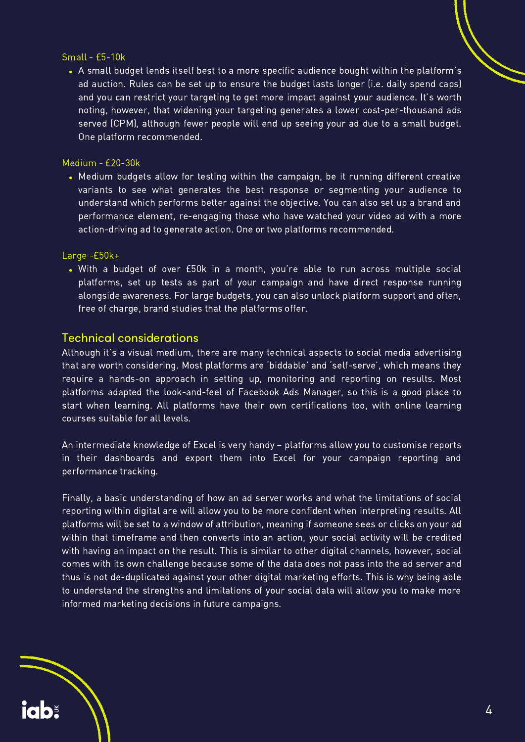#### Small - £5-10k

A small budget lends itself best to a more specific audience bought within the platform's ad auction. Rules can be set up to ensure the budget lasts longer (i.e. daily spend caps) and you can restrict your targeting to get more impact against your audience. It's worth noting, however, that widening your targeting generates a lower cost-per-thousand ads served (CPM), although fewer people will end up seeing your ad due to a small budget. One platform recommended.

#### Medium - £20-30k

Medium budgets allow for testing within the campaign, be it running different creative variants to see what generates the best response or segmenting your audience to understand which performs better against the objective. You can also set up a brand and performance element, re-engaging those who have watched your video ad with a more action-driving ad to generate action. One or two platforms recommended.

#### Large -£50k+

**iab:** 

With a budget of over £50k in a month, you're able to run across multiple social platforms, set up tests as part of your campaign and have direct response running alongside awareness. For large budgets, you can also unlock platform support and often, free of charge, brand studies that the platforms offer.

#### Technical considerations

Although it's a visual medium, there are many technical aspects to social media advertising that are worth considering. Most platforms are 'biddable' and 'self-serve', which means they require a hands-on approach in setting up, monitoring and reporting on results. Most platforms adapted the look-and-feel of Facebook Ads Manager, so this is a good place to start when learning. All platforms have their own certifications too, with online learning courses suitable for all levels.

An intermediate knowledge of Excel is very handy – platforms allow you to customise reports in their dashboards and export them into Excel for your campaign reporting and performance tracking.

Finally, a basic understanding of how an ad server works and what the limitations of social reporting within digital are will allow you to be more confident when interpreting results. All platforms will be set to a window of attribution, meaning if someone sees or clicks on your ad within that timeframe and then converts into an action, your social activity will be credited with having an impact on the result. This is similar to other digital channels, however, social comes with its own challenge because some of the data does not pass into the ad server and thus is not de-duplicated against your other digital marketing efforts. This is why being able to understand the strengths and limitations of your social data will allow you to make more informed marketing decisions in future campaigns.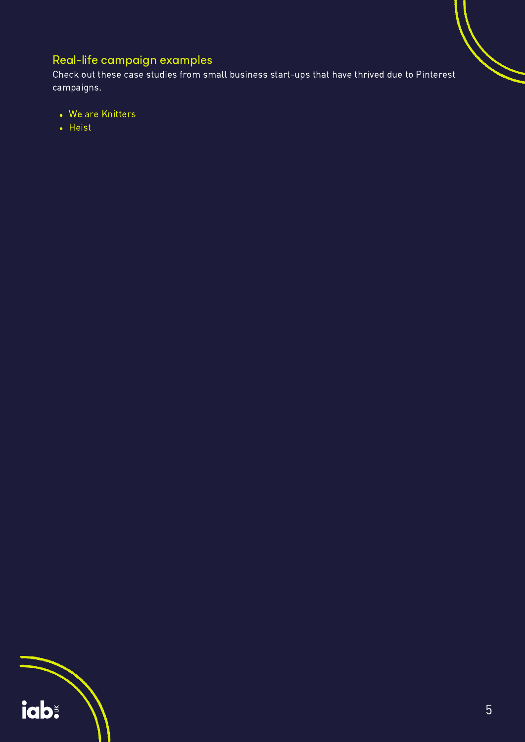# Real-life campaign examples

Check out these case studies from small business start-ups that have thrived due to Pinterest campaigns.

- We are [Knitters](http://business.pinterest.com/en-gb/success-stories/we-are-knitters)
- [Heist](http://business.pinterest.com/en-gb/success-stories/heist)